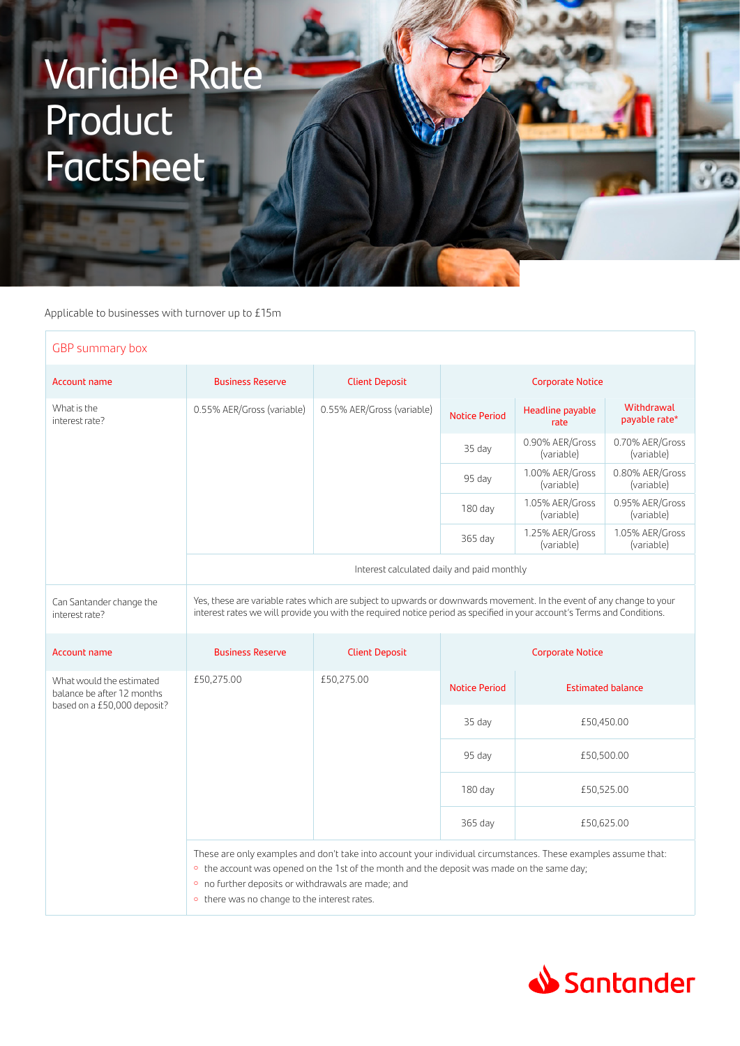## Variable Rate Product **Factsheet**

Applicable to businesses with turnover up to £15m

| GBP summary box                                        |                                                                                                                                                                                                                                                 |                            |                         |                               |                               |  |  |  |
|--------------------------------------------------------|-------------------------------------------------------------------------------------------------------------------------------------------------------------------------------------------------------------------------------------------------|----------------------------|-------------------------|-------------------------------|-------------------------------|--|--|--|
| <b>Account name</b>                                    | <b>Business Reserve</b>                                                                                                                                                                                                                         | <b>Client Deposit</b>      | <b>Corporate Notice</b> |                               |                               |  |  |  |
| What is the<br>interest rate?                          | 0.55% AER/Gross (variable)                                                                                                                                                                                                                      | 0.55% AER/Gross (variable) | <b>Notice Period</b>    | Headline payable<br>rate      | Withdrawal<br>payable rate*   |  |  |  |
|                                                        |                                                                                                                                                                                                                                                 |                            | 35 day                  | 0.90% AER/Gross<br>(variable) | 0.70% AER/Gross<br>(variable) |  |  |  |
|                                                        |                                                                                                                                                                                                                                                 |                            | 95 day                  | 1.00% AER/Gross<br>(variable) | 0.80% AER/Gross<br>(variable) |  |  |  |
|                                                        |                                                                                                                                                                                                                                                 |                            | $180$ day               | 1.05% AER/Gross<br>(variable) | 0.95% AER/Gross<br>(variable) |  |  |  |
|                                                        |                                                                                                                                                                                                                                                 |                            | 365 day                 | 1.25% AER/Gross<br>(variable) | 1.05% AER/Gross<br>(variable) |  |  |  |
|                                                        | Interest calculated daily and paid monthly                                                                                                                                                                                                      |                            |                         |                               |                               |  |  |  |
| Can Santander change the<br>interest rate?             | Yes, these are variable rates which are subject to upwards or downwards movement. In the event of any change to your<br>interest rates we will provide you with the required notice period as specified in your account's Terms and Conditions. |                            |                         |                               |                               |  |  |  |
| <b>Account name</b>                                    | <b>Business Reserve</b>                                                                                                                                                                                                                         | <b>Client Deposit</b>      | <b>Corporate Notice</b> |                               |                               |  |  |  |
| What would the estimated<br>balance be after 12 months | £50,275.00                                                                                                                                                                                                                                      | £50,275.00                 |                         |                               |                               |  |  |  |
|                                                        |                                                                                                                                                                                                                                                 |                            | <b>Notice Period</b>    |                               | <b>Estimated balance</b>      |  |  |  |
| based on a £50,000 deposit?                            |                                                                                                                                                                                                                                                 |                            | 35 day                  | £50,450.00                    |                               |  |  |  |
|                                                        |                                                                                                                                                                                                                                                 |                            | 95 day                  | £50,500.00                    |                               |  |  |  |
|                                                        |                                                                                                                                                                                                                                                 |                            | $180$ day               | £50,525.00                    |                               |  |  |  |
|                                                        |                                                                                                                                                                                                                                                 |                            | 365 day                 | £50,625.00                    |                               |  |  |  |



 $\overline{r}$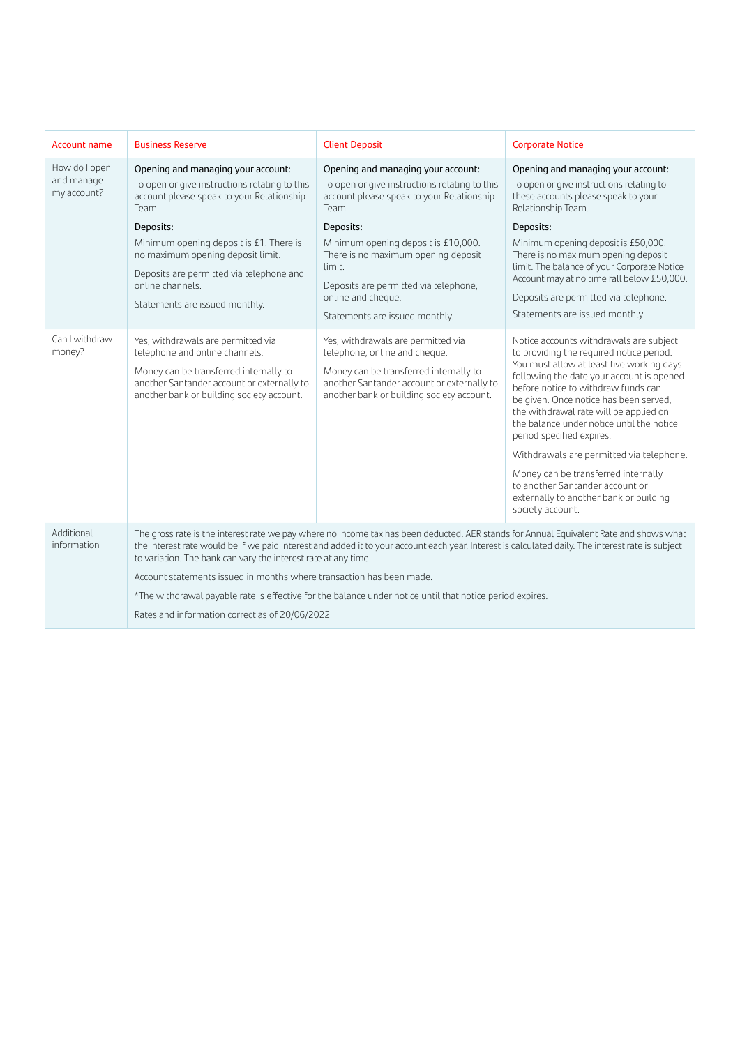| <b>Account name</b>                                                    | <b>Business Reserve</b>                                                                                                                                                                                                                                                                                                                                                                                                                                                                                                                                                                             | <b>Client Deposit</b>                                                                                                                                                                                                                                                                                                                                                                                                                                                                                                                                       | <b>Corporate Notice</b>                                                                                                                                                                                                                                                                                                                                                                                                                                                                                                                                                                                                                                                                                                                                                                                                                          |  |  |
|------------------------------------------------------------------------|-----------------------------------------------------------------------------------------------------------------------------------------------------------------------------------------------------------------------------------------------------------------------------------------------------------------------------------------------------------------------------------------------------------------------------------------------------------------------------------------------------------------------------------------------------------------------------------------------------|-------------------------------------------------------------------------------------------------------------------------------------------------------------------------------------------------------------------------------------------------------------------------------------------------------------------------------------------------------------------------------------------------------------------------------------------------------------------------------------------------------------------------------------------------------------|--------------------------------------------------------------------------------------------------------------------------------------------------------------------------------------------------------------------------------------------------------------------------------------------------------------------------------------------------------------------------------------------------------------------------------------------------------------------------------------------------------------------------------------------------------------------------------------------------------------------------------------------------------------------------------------------------------------------------------------------------------------------------------------------------------------------------------------------------|--|--|
| How do I open<br>and manage<br>my account?<br>Can I withdraw<br>money? | Opening and managing your account:<br>To open or give instructions relating to this<br>account please speak to your Relationship<br>Team.<br>Deposits:<br>Minimum opening deposit is £1. There is<br>no maximum opening deposit limit.<br>Deposits are permitted via telephone and<br>online channels.<br>Statements are issued monthly.<br>Yes, withdrawals are permitted via<br>telephone and online channels.<br>Money can be transferred internally to<br>another Santander account or externally to<br>another bank or building society account.                                               | Opening and managing your account:<br>To open or give instructions relating to this<br>account please speak to your Relationship<br>Team.<br>Deposits:<br>Minimum opening deposit is £10,000.<br>There is no maximum opening deposit<br>limit.<br>Deposits are permitted via telephone,<br>online and cheque.<br>Statements are issued monthly.<br>Yes, withdrawals are permitted via<br>telephone, online and cheque.<br>Money can be transferred internally to<br>another Santander account or externally to<br>another bank or building society account. | Opening and managing your account:<br>To open or give instructions relating to<br>these accounts please speak to your<br>Relationship Team.<br>Deposits:<br>Minimum opening deposit is £50,000.<br>There is no maximum opening deposit<br>limit. The balance of your Corporate Notice<br>Account may at no time fall below £50,000.<br>Deposits are permitted via telephone.<br>Statements are issued monthly.<br>Notice accounts withdrawals are subject<br>to providing the required notice period.<br>You must allow at least five working days<br>following the date your account is opened<br>before notice to withdraw funds can<br>be given. Once notice has been served,<br>the withdrawal rate will be applied on<br>the balance under notice until the notice<br>period specified expires.<br>Withdrawals are permitted via telephone. |  |  |
|                                                                        |                                                                                                                                                                                                                                                                                                                                                                                                                                                                                                                                                                                                     |                                                                                                                                                                                                                                                                                                                                                                                                                                                                                                                                                             | Money can be transferred internally<br>to another Santander account or<br>externally to another bank or building<br>society account.                                                                                                                                                                                                                                                                                                                                                                                                                                                                                                                                                                                                                                                                                                             |  |  |
| Additional<br>information                                              | The gross rate is the interest rate we pay where no income tax has been deducted. AER stands for Annual Equivalent Rate and shows what<br>the interest rate would be if we paid interest and added it to your account each year. Interest is calculated daily. The interest rate is subject<br>to variation. The bank can vary the interest rate at any time.<br>Account statements issued in months where transaction has been made.<br>*The withdrawal payable rate is effective for the balance under notice until that notice period expires.<br>Rates and information correct as of 20/06/2022 |                                                                                                                                                                                                                                                                                                                                                                                                                                                                                                                                                             |                                                                                                                                                                                                                                                                                                                                                                                                                                                                                                                                                                                                                                                                                                                                                                                                                                                  |  |  |